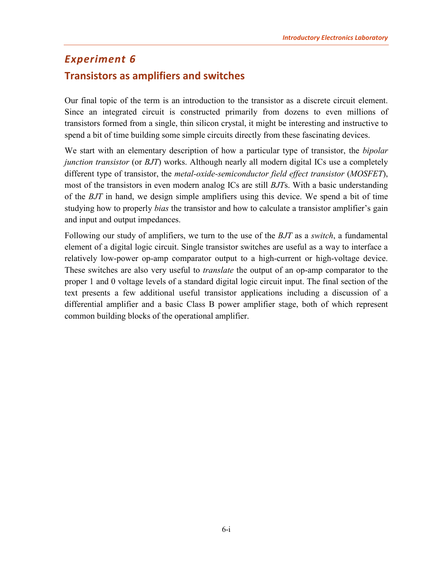# <span id="page-0-0"></span>*Experiment 6* **Transistors as amplifiers and switches**

Our final topic of the term is an introduction to the transistor as a discrete circuit element. Since an integrated circuit is constructed primarily from dozens to even millions of transistors formed from a single, thin silicon crystal, it might be interesting and instructive to spend a bit of time building some simple circuits directly from these fascinating devices.

We start with an elementary description of how a particular type of transistor, the *bipolar junction transistor* (or *BJT*) works. Although nearly all modern digital ICs use a completely different type of transistor, the *metal-oxide-semiconductor field effect transistor* (*MOSFET*), most of the transistors in even modern analog ICs are still *BJT*s. With a basic understanding of the *BJT* in hand, we design simple amplifiers using this device. We spend a bit of time studying how to properly *bias* the transistor and how to calculate a transistor amplifier's gain and input and output impedances.

Following our study of amplifiers, we turn to the use of the *BJT* as a *switch*, a fundamental element of a digital logic circuit. Single transistor switches are useful as a way to interface a relatively low-power op-amp comparator output to a high-current or high-voltage device. These switches are also very useful to *translate* the output of an op-amp comparator to the proper 1 and 0 voltage levels of a standard digital logic circuit input. The final section of the text presents a few additional useful transistor applications including a discussion of a differential amplifier and a basic Class B power amplifier stage, both of which represent common building blocks of the operational amplifier.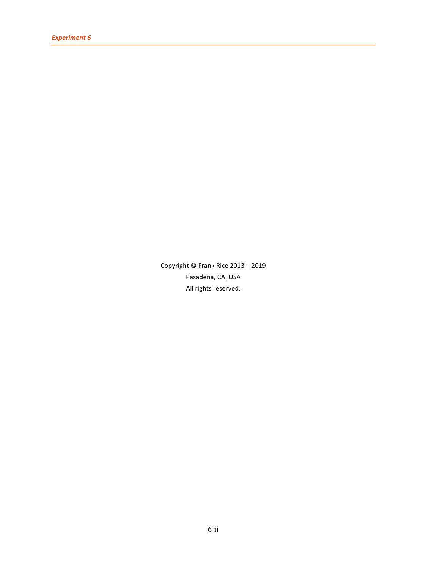Copyright © Frank Rice 2013 – 2019 Pasadena, CA, USA All rights reserved.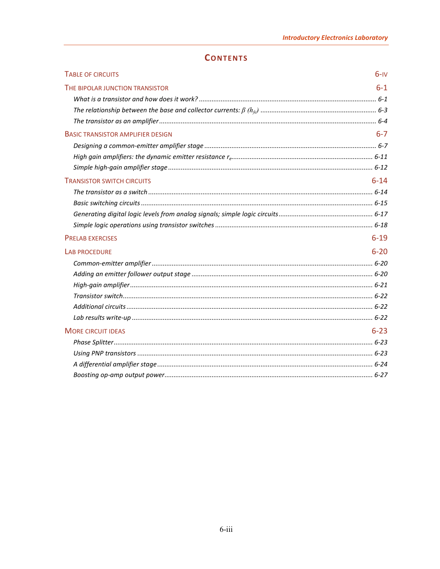# **CONTENTS**

| <b>TABLE OF CIRCUITS</b>                                                                        | $6-y$    |
|-------------------------------------------------------------------------------------------------|----------|
| THE BIPOLAR JUNCTION TRANSISTOR                                                                 | $6 - 1$  |
|                                                                                                 |          |
|                                                                                                 |          |
|                                                                                                 |          |
| <b>BASIC TRANSISTOR AMPLIFIER DESIGN</b>                                                        | $6 - 7$  |
|                                                                                                 |          |
| High gain amplifiers: the dynamic emitter resistance remainmental containmental materials. 6-11 |          |
|                                                                                                 |          |
| <b>TRANSISTOR SWITCH CIRCUITS</b>                                                               | $6 - 14$ |
|                                                                                                 |          |
|                                                                                                 |          |
|                                                                                                 |          |
|                                                                                                 |          |
| <b>PRELAB EXERCISES</b>                                                                         | $6 - 19$ |
| <b>LAB PROCEDURE</b>                                                                            | $6 - 20$ |
|                                                                                                 |          |
|                                                                                                 |          |
|                                                                                                 |          |
|                                                                                                 |          |
|                                                                                                 |          |
|                                                                                                 |          |
| <b>MORE CIRCUIT IDEAS</b>                                                                       | $6 - 23$ |
|                                                                                                 |          |
|                                                                                                 |          |
|                                                                                                 |          |
|                                                                                                 |          |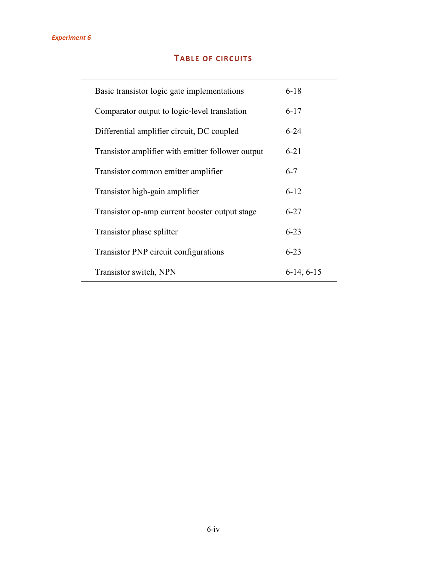# **TABLE OF CIRCUITS**

<span id="page-3-0"></span>

| Basic transistor logic gate implementations       | $6 - 18$     |
|---------------------------------------------------|--------------|
| Comparator output to logic-level translation      | $6 - 17$     |
| Differential amplifier circuit, DC coupled        | $6 - 24$     |
| Transistor amplifier with emitter follower output | $6 - 21$     |
| Transistor common emitter amplifier               | $6 - 7$      |
| Transistor high-gain amplifier                    | $6 - 12$     |
| Transistor op-amp current booster output stage    | $6 - 27$     |
| Transistor phase splitter                         | $6 - 23$     |
| Transistor PNP circuit configurations             | $6 - 23$     |
| Transistor switch, NPN                            | $6-14, 6-15$ |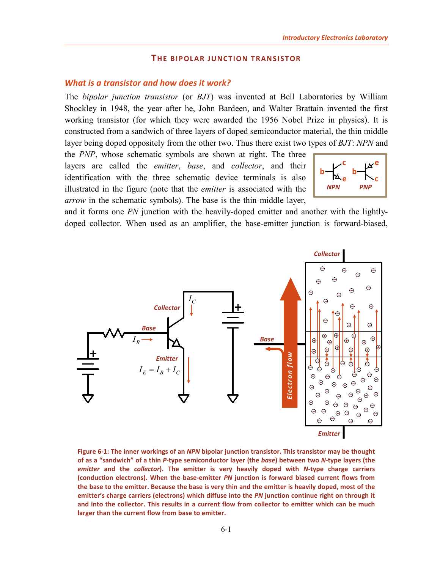### **THE BIPOLAR JUNCTION TRANSISTOR**

### <span id="page-4-1"></span><span id="page-4-0"></span>*What is a transistor and how does it work?*

The *bipolar junction transistor* (or *BJT*) was invented at Bell Laboratories by William Shockley in 1948, the year after he, John Bardeen, and Walter Brattain invented the first working transistor (for which they were awarded the 1956 Nobel Prize in physics). It is constructed from a sandwich of three layers of doped semiconductor material, the thin middle layer being doped oppositely from the other two. Thus there exist two types of *BJT*: *NPN* and

the *PNP*, whose schematic symbols are shown at right. The three layers are called the *emitter*, *base*, and *collector*, and their identification with the three schematic device terminals is also illustrated in the figure (note that the *emitter* is associated with the *arrow* in the schematic symbols). The base is the thin middle layer,



and it forms one *PN* junction with the heavily-doped emitter and another with the lightlydoped collector. When used as an amplifier, the base-emitter junction is forward-biased,



<span id="page-4-2"></span>**Figure 6-1: The inner workings of an** *NPN* **bipolar junction transistor. This transistor may be thought of as a "sandwich" of a thin** *P***-type semiconductor layer (the** *base***) between two** *N***-type layers (the**  *emitter* **and the** *collector***). The emitter is very heavily doped with** *N***-type charge carriers (conduction electrons). When the base-emitter** *PN* **junction is forward biased current flows from the base to the emitter. Because the base is very thin and the emitter is heavily doped, most of the emitter's charge carriers (electrons) which diffuse into the** *PN* **junction continue right on through it and into the collector. This results in a current flow from collector to emitter which can be much larger than the current flow from base to emitter.**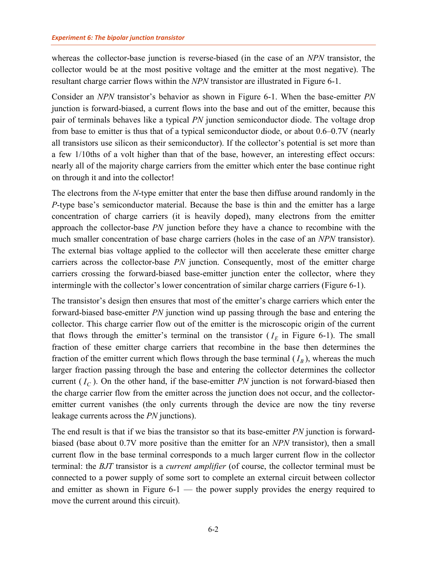whereas the collector-base junction is reverse-biased (in the case of an *NPN* transistor, the collector would be at the most positive voltage and the emitter at the most negative). The resultant charge carrier flows within the *NPN* transistor are illustrated in [Figure 6-1.](#page-4-2)

Consider an *NPN* transistor's behavior as shown in [Figure 6-1.](#page-4-2) When the base-emitter *PN* junction is forward-biased, a current flows into the base and out of the emitter, because this pair of terminals behaves like a typical *PN* junction semiconductor diode. The voltage drop from base to emitter is thus that of a typical semiconductor diode, or about 0.6–0.7V (nearly all transistors use silicon as their semiconductor). If the collector's potential is set more than a few 1/10ths of a volt higher than that of the base, however, an interesting effect occurs: nearly all of the majority charge carriers from the emitter which enter the base continue right on through it and into the collector!

The electrons from the *N*-type emitter that enter the base then diffuse around randomly in the *P*-type base's semiconductor material. Because the base is thin and the emitter has a large concentration of charge carriers (it is heavily doped), many electrons from the emitter approach the collector-base *PN* junction before they have a chance to recombine with the much smaller concentration of base charge carriers (holes in the case of an *NPN* transistor). The external bias voltage applied to the collector will then accelerate these emitter charge carriers across the collector-base *PN* junction. Consequently, most of the emitter charge carriers crossing the forward-biased base-emitter junction enter the collector, where they intermingle with the collector's lower concentration of similar charge carriers [\(Figure 6-1\)](#page-4-2).

The transistor's design then ensures that most of the emitter's charge carriers which enter the forward-biased base-emitter *PN* junction wind up passing through the base and entering the collector. This charge carrier flow out of the emitter is the microscopic origin of the current that flows through the emitter's terminal on the transistor  $(I_E$  in [Figure 6-1\)](#page-4-2). The small fraction of these emitter charge carriers that recombine in the base then determines the fraction of the emitter current which flows through the base terminal  $(I_B)$ , whereas the much larger fraction passing through the base and entering the collector determines the collector current  $(I_C)$ . On the other hand, if the base-emitter *PN* junction is not forward-biased then the charge carrier flow from the emitter across the junction does not occur, and the collectoremitter current vanishes (the only currents through the device are now the tiny reverse leakage currents across the *PN* junctions).

The end result is that if we bias the transistor so that its base-emitter *PN* junction is forwardbiased (base about 0.7V more positive than the emitter for an *NPN* transistor), then a small current flow in the base terminal corresponds to a much larger current flow in the collector terminal: the *BJT* transistor is a *current amplifier* (of course, the collector terminal must be connected to a power supply of some sort to complete an external circuit between collector and emitter as shown in [Figure 6-1](#page-4-2) — the power supply provides the energy required to move the current around this circuit).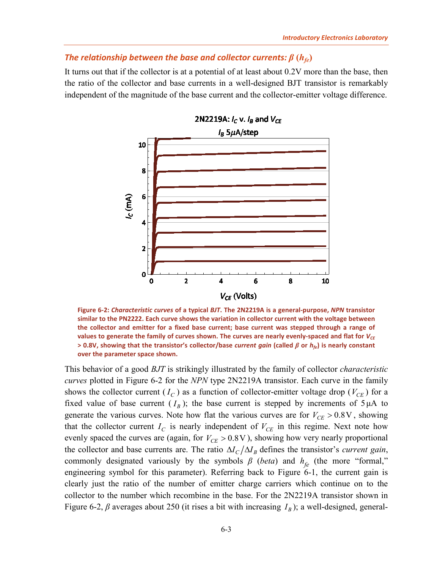# <span id="page-6-0"></span>*The relationship between the base and collector currents:*  $\beta$  *(* $h_{fe}$ *)*

It turns out that if the collector is at a potential of at least about 0.2V more than the base, then the ratio of the collector and base currents in a well-designed BJT transistor is remarkably independent of the magnitude of the base current and the collector-emitter voltage difference.



<span id="page-6-1"></span>**Figure 6-2:** *Characteristic curves* **of a typical** *BJT***. The 2N2219A is a general-purpose,** *NPN* **transistor similar to the PN2222. Each curve shows the variation in collector current with the voltage between the collector and emitter for a fixed base current; base current was stepped through a range of**  values to generate the family of curves shown. The curves are nearly evenly-spaced and flat for  $V_{CE}$ **> 0.8V, showing that the transistor's collector/base** *current gain* **(called** *β* **or** *hfe***) is nearly constant over the parameter space shown.**

This behavior of a good *BJT* is strikingly illustrated by the family of collector *characteristic curves* plotted in [Figure 6-2](#page-6-1) for the *NPN* type 2N2219A transistor. Each curve in the family shows the collector current  $(I_C)$  as a function of collector-emitter voltage drop  $(V_{CE})$  for a fixed value of base current  $(I_B)$ ; the base current is stepped by increments of  $5 \mu A$  to generate the various curves. Note how flat the various curves are for  $V_{CF} > 0.8$ V, showing that the collector current  $I_C$  is nearly independent of  $V_{CE}$  in this regime. Next note how evenly spaced the curves are (again, for  $V_{CE} > 0.8$  V), showing how very nearly proportional the collector and base currents are. The ratio  $\Delta l_C / \Delta l_B$  defines the transistor's *current gain*, commonly designated variously by the symbols  $\beta$  (*beta*) and  $h_{fe}$  (the more "formal," engineering symbol for this parameter). Referring back to [Figure 6-1,](#page-4-2) the current gain is clearly just the ratio of the number of emitter charge carriers which continue on to the collector to the number which recombine in the base. For the 2N2219A transistor shown in [Figure 6-2,](#page-6-1)  $\beta$  averages about 250 (it rises a bit with increasing  $I_B$ ); a well-designed, general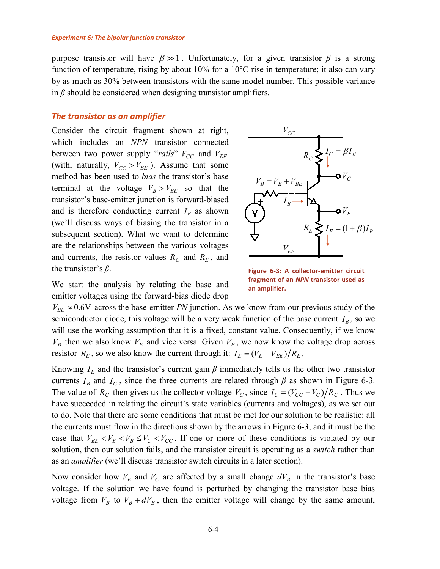purpose transistor will have  $\beta \gg 1$ . Unfortunately, for a given transistor  $\beta$  is a strong function of temperature, rising by about 10% for a 10°C rise in temperature; it also can vary by as much as 30% between transistors with the same model number. This possible variance in *β* should be considered when designing transistor amplifiers.

#### <span id="page-7-0"></span>*The transistor as an amplifier*

Consider the circuit fragment shown at right, which includes an *NPN* transistor connected between two power supply "*rails*"  $V_{CC}$  and  $V_{EE}$ (with, naturally,  $V_{CC} > V_{EE}$ ). Assume that some method has been used to *bias* the transistor's base terminal at the voltage  $V_B > V_{EE}$  so that the transistor's base-emitter junction is forward-biased and is therefore conducting current  $I_B$  as shown (we'll discuss ways of biasing the transistor in a subsequent section). What we want to determine are the relationships between the various voltages and currents, the resistor values  $R_C$  and  $R_E$ , and the transistor's *β*.



<span id="page-7-1"></span>**Figure 6-3: A collector-emitter circuit fragment of an** *NPN* **transistor used as an amplifier.**

We start the analysis by relating the base and emitter voltages using the forward-bias diode drop

 $V_{BE} \approx 0.6$ V across the base-emitter *PN* junction. As we know from our previous study of the semiconductor diode, this voltage will be a very weak function of the base current  $I_B$ , so we will use the working assumption that it is a fixed, constant value. Consequently, if we know  $V_B$  then we also know  $V_E$  and vice versa. Given  $V_E$ , we now know the voltage drop across resistor  $R_E$ , so we also know the current through it:  $I_E = (V_E - V_{EE})/R_E$ .

Knowing  $I<sub>E</sub>$  and the transistor's current gain  $\beta$  immediately tells us the other two transistor currents  $I_B$  and  $I_C$ , since the three currents are related through  $\beta$  as shown in [Figure 6-3.](#page-7-1) The value of  $R_c$  then gives us the collector voltage  $V_c$ , since  $I_c = (V_{cc} - V_c)/R_c$ . Thus we have succeeded in relating the circuit's state variables (currents and voltages), as we set out to do. Note that there are some conditions that must be met for our solution to be realistic: all the currents must flow in the directions shown by the arrows in [Figure 6-3,](#page-7-1) and it must be the case that  $V_{EE} < V_E < V_B \leq V_C < V_{CC}$ . If one or more of these conditions is violated by our solution, then our solution fails, and the transistor circuit is operating as a *switch* rather than as an *amplifier* (we'll discuss transistor switch circuits in a later section).

Now consider how  $V_E$  and  $V_C$  are affected by a small change  $dV_B$  in the transistor's base voltage. If the solution we have found is perturbed by changing the transistor base bias voltage from  $V_B$  to  $V_B + dV_B$ , then the emitter voltage will change by the same amount,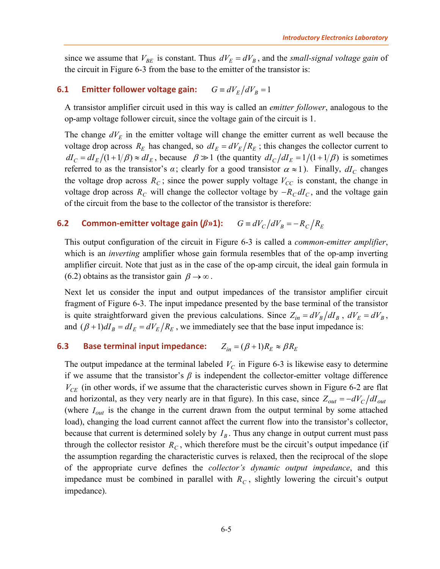since we assume that  $V_{BE}$  is constant. Thus  $dV_E = dV_B$ , and the *small-signal voltage gain* of the circuit in [Figure 6-3](#page-7-1) from the base to the emitter of the transistor is:

# <span id="page-8-2"></span>**6.1 Emitter follower voltage gain:**  $G = dV_F/dV_B = 1$

A transistor amplifier circuit used in this way is called an *emitter follower*, analogous to the op-amp voltage follower circuit, since the voltage gain of the circuit is 1.

The change  $dV<sub>E</sub>$  in the emitter voltage will change the emitter current as well because the voltage drop across  $R_E$  has changed, so  $dI_E = dV_E/R_E$ ; this changes the collector current to  $dI_C = dI_E/(1 + 1/\beta) \approx dI_E$ , because  $\beta \gg 1$  (the quantity  $dI_C/dI_E = 1/(1 + 1/\beta)$  is sometimes referred to as the transistor's  $\alpha$ ; clearly for a good transistor  $\alpha \approx 1$ ). Finally,  $dI_C$  changes the voltage drop across  $R_c$ ; since the power supply voltage  $V_{cc}$  is constant, the change in voltage drop across  $R_c$  will change the collector voltage by  $-R_c dI_c$ , and the voltage gain of the circuit from the base to the collector of the transistor is therefore:

# <span id="page-8-0"></span>**6.2 Common-emitter voltage gain (** $\beta$ **<sup>***n***</sup>1):**  $G \equiv dV_C/dV_B = -R_C/R_E$

This output configuration of the circuit in [Figure 6-3](#page-7-1) is called a *common-emitter amplifier*, which is an *inverting* amplifier whose gain formula resembles that of the op-amp inverting amplifier circuit. Note that just as in the case of the op-amp circuit, the ideal gain formula in [\(6.2\)](#page-8-0) obtains as the transistor gain  $\beta \rightarrow \infty$ .

Next let us consider the input and output impedances of the transistor amplifier circuit fragment of [Figure 6-3.](#page-7-1) The input impedance presented by the base terminal of the transistor is quite straightforward given the previous calculations. Since  $Z_{in} = dV_B/dI_B$ ,  $dV_E = dV_B$ , and  $(\beta + 1)dI_B = dI_E = dV_E/R_E$ , we immediately see that the base input impedance is:

# <span id="page-8-1"></span>**6.3 Base terminal input impedance:**  $Z_{in} = (\beta + 1)R_E \approx \beta R_E$

The output impedance at the terminal labeled  $V_C$  in [Figure 6-3](#page-7-1) is likewise easy to determine if we assume that the transistor's  $\beta$  is independent the collector-emitter voltage difference  $V_{CE}$  (in other words, if we assume that the characteristic curves shown in [Figure 6-2](#page-6-1) are flat and horizontal, as they very nearly are in that figure). In this case, since  $Z_{out} = -dV_c/dI_{out}$ (where  $I_{out}$  is the change in the current drawn from the output terminal by some attached load), changing the load current cannot affect the current flow into the transistor's collector, because that current is determined solely by  $I<sub>B</sub>$ . Thus any change in output current must pass through the collector resistor  $R_c$ , which therefore must be the circuit's output impedance (if the assumption regarding the characteristic curves is relaxed, then the reciprocal of the slope of the appropriate curve defines the *collector's dynamic output impedance*, and this impedance must be combined in parallel with  $R_C$ , slightly lowering the circuit's output impedance).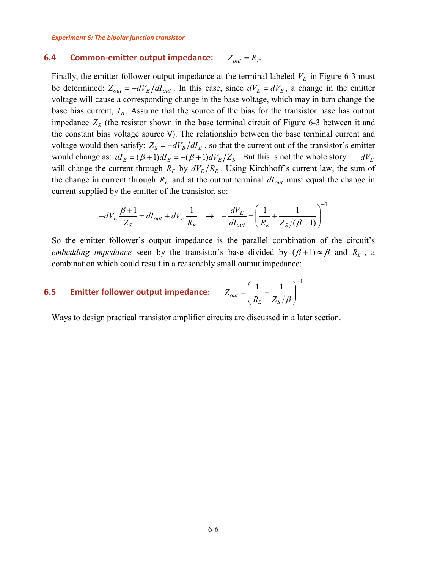## <span id="page-9-0"></span>**6.4 Common-emitter output impedance:**  $Z_{out} = R_C$

Finally, the emitter-follower output impedance at the terminal labeled  $V<sub>E</sub>$  in [Figure 6-3](#page-7-1) must be determined:  $Z_{out} = -dV_E/dI_{out}$ . In this case, since  $dV_E = dV_B$ , a change in the emitter voltage will cause a corresponding change in the base voltage, which may in turn change the base bias current,  $I_B$ . Assume that the source of the bias for the transistor base has output impedance  $Z<sub>S</sub>$  (the resistor shown in the base terminal circuit of [Figure 6-3](#page-7-1) between it and the constant bias voltage source V). The relationship between the base terminal current and voltage would then satisfy:  $Z_s = -dV_B/dI_B$ , so that the current out of the transistor's emitter would change as:  $dI_E = (\beta + 1) dI_B = -(\beta + 1) dV_E/Z_S$ . But this is not the whole story —  $dV_E$ will change the current through  $R_E$  by  $dV_E/R_E$ . Using Kirchhoff's current law, the sum of the change in current through  $R_E$  and at the output terminal  $dI_{out}$  must equal the change in current supplied by the emitter of the transistor, so:

$$
-dV_E \frac{\beta+1}{Z_S} = dI_{out} + dV_E \frac{1}{R_E} \rightarrow -\frac{dV_E}{dI_{out}} = \left(\frac{1}{R_E} + \frac{1}{Z_S/(\beta+1)}\right)^{-1}
$$

So the emitter follower's output impedance is the parallel combination of the circuit's *embedding impedance* seen by the transistor's base divided by  $(\beta + 1) \approx \beta$  and  $R_E$ , a combination which could result in a reasonably small output impedance:

#### <span id="page-9-1"></span>**6.5 Emitter follower output impedance:**

$$
Z_{out} = \left(\frac{1}{R_E} + \frac{1}{Z_S/\beta}\right)^{-1}
$$

Ways to design practical transistor amplifier circuits are discussed in a later section.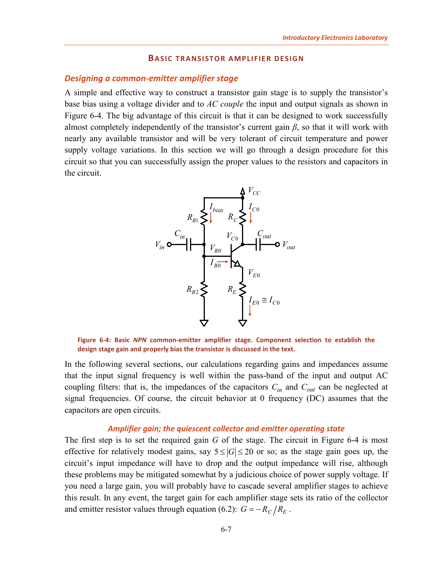#### **BASIC TRANSISTOR AMPLIFIER DESIGN**

# <span id="page-10-1"></span><span id="page-10-0"></span>*Designing a common-emitter amplifier stage*

A simple and effective way to construct a transistor gain stage is to supply the transistor's base bias using a voltage divider and to *AC couple* the input and output signals as shown in [Figure 6-4.](#page-10-2) The big advantage of this circuit is that it can be designed to work successfully almost completely independently of the transistor's current gain *β*, so that it will work with nearly any available transistor and will be very tolerant of circuit temperature and power supply voltage variations. In this section we will go through a design procedure for this circuit so that you can successfully assign the proper values to the resistors and capacitors in the circuit.



<span id="page-10-2"></span>**Figure 6-4: Basic** *NPN* **common-emitter amplifier stage. Component selection to establish the design stage gain and properly bias the transistor is discussed in the text.**

In the following several sections, our calculations regarding gains and impedances assume that the input signal frequency is well within the pass-band of the input and output AC coupling filters: that is, the impedances of the capacitors  $C_{in}$  and  $C_{out}$  can be neglected at signal frequencies. Of course, the circuit behavior at 0 frequency (DC) assumes that the capacitors are open circuits.

#### *Amplifier gain; the quiescent collector and emitter operating state*

The first step is to set the required gain *G* of the stage. The circuit in [Figure 6-4](#page-10-2) is most effective for relatively modest gains, say  $5 \leq |G| \leq 20$  or so; as the stage gain goes up, the circuit's input impedance will have to drop and the output impedance will rise, although these problems may be mitigated somewhat by a judicious choice of power supply voltage. If you need a large gain, you will probably have to cascade several amplifier stages to achieve this result. In any event, the target gain for each amplifier stage sets its ratio of the collector and emitter resistor values through equation [\(6.2\)](#page-8-0):  $G = -R_C/R_E$ .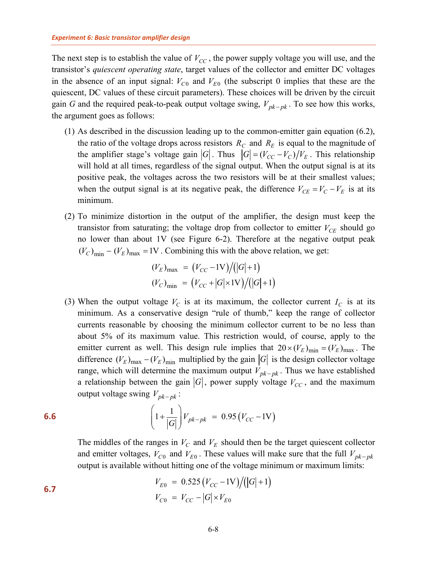The next step is to establish the value of  $V_{CC}$ , the power supply voltage you will use, and the transistor's *quiescent operating state*, target values of the collector and emitter DC voltages in the absence of an input signal:  $V_{C0}$  and  $V_{E0}$  (the subscript 0 implies that these are the quiescent, DC values of these circuit parameters). These choices will be driven by the circuit gain *G* and the required peak-to-peak output voltage swing,  $V_{pk-pk}$ . To see how this works, the argument goes as follows:

- (1) As described in the discussion leading up to the common-emitter gain equation [\(6.2\)](#page-8-0), the ratio of the voltage drops across resistors  $R_C$  and  $R_E$  is equal to the magnitude of the amplifier stage's voltage gain  $|G|$ . Thus  $|G| = (V_{CC} - V_C)/V_E$ . This relationship will hold at all times, regardless of the signal output. When the output signal is at its positive peak, the voltages across the two resistors will be at their smallest values; when the output signal is at its negative peak, the difference  $V_{CE} = V_C - V_E$  is at its minimum.
- (2) To minimize distortion in the output of the amplifier, the design must keep the transistor from saturating; the voltage drop from collector to emitter  $V_{CE}$  should go no lower than about 1V (see [Figure 6-2\)](#page-6-1). Therefore at the negative output peak  $(V_C)_{\text{min}} - (V_E)_{\text{max}} = 1V$ . Combining this with the above relation, we get:

$$
(V_E)_{\text{max}} = (V_{CC} - 1V)/([G] + 1)
$$
  

$$
(V_C)_{\text{min}} = (V_{CC} + |G| \times 1V)/([G] + 1)
$$

(3) When the output voltage  $V_C$  is at its maximum, the collector current  $I_C$  is at its minimum. As a conservative design "rule of thumb," keep the range of collector currents reasonable by choosing the minimum collector current to be no less than about 5% of its maximum value. This restriction would, of course, apply to the emitter current as well. This design rule implies that  $20 \times (V_E)_{min} = (V_E)_{max}$ . The difference  $(V_E)_{\text{max}} - (V_E)_{\text{min}}$  multiplied by the gain  $|G|$  is the design collector voltage range, which will determine the maximum output  $V_{pk-pk}$ . Thus we have established a relationship between the gain  $|G|$ , power supply voltage  $V_{CC}$ , and the maximum output voltage swing  $V_{pk-pk}$ :

<span id="page-11-0"></span>**6.6** 
$$
\left(1 + \frac{1}{|G|}\right) V_{pk-pk} = 0.95 (V_{CC} - 1V)
$$

The middles of the ranges in  $V_C$  and  $V_E$  should then be the target quiescent collector and emitter voltages,  $V_{C0}$  and  $V_{E0}$ . These values will make sure that the full  $V_{pk-pk}$ output is available without hitting one of the voltage minimum or maximum limits:

<span id="page-11-1"></span>**6.7** 
$$
V_{E0} = 0.525 (V_{CC} - 1V)/(|G| + 1)
$$

$$
V_{C0} = V_{CC} - |G| \times V_{E0}
$$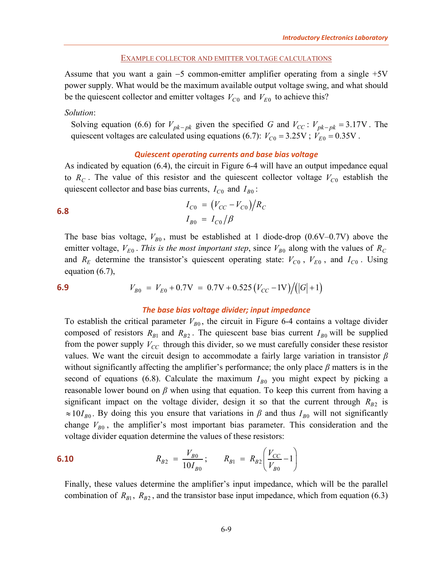#### EXAMPLE COLLECTOR AND EMITTER VOLTAGE CALCULATIONS

Assume that you want a gain −5 common-emitter amplifier operating from a single +5V power supply. What would be the maximum available output voltage swing, and what should be the quiescent collector and emitter voltages  $V_{C0}$  and  $V_{E0}$  to achieve this?

#### *Solution*:

Solving equation [\(6.6\)](#page-11-0) for  $V_{pk-pk}$  given the specified *G* and  $V_{CC}$ :  $V_{pk-pk} = 3.17V$ . The quiescent voltages are calculated using equations [\(6.7\)](#page-11-1):  $V_{C0} = 3.25V$ ;  $V_{E0} = 0.35V$ .

#### *Quiescent operating currents and base bias voltage*

As indicated by equation [\(6.4\)](#page-9-0), the circuit in [Figure 6-4](#page-10-2) will have an output impedance equal to  $R_C$ . The value of this resistor and the quiescent collector voltage  $V_{C0}$  establish the quiescent collector and base bias currents,  $I_{C0}$  and  $I_{B0}$ :

<span id="page-12-0"></span>**6.8** 
$$
I_{C0} = (V_{CC} - V_{C0})/R_C
$$

$$
I_{B0} = I_{C0}/\beta
$$

The base bias voltage,  $V_{B0}$ , must be established at 1 diode-drop (0.6V–0.7V) above the emitter voltage,  $V_{E0}$ . *This is the most important step*, since  $V_{B0}$  along with the values of  $R_C$ and  $R_E$  determine the transistor's quiescent operating state:  $V_{C0}$ ,  $V_{E0}$ , and  $I_{C0}$ . Using equation [\(6.7\)](#page-11-1),

<span id="page-12-1"></span>6.9 
$$
V_{B0} = V_{E0} + 0.7 \text{V} = 0.7 \text{V} + 0.525 (V_{CC} - 1 \text{V}) / (|G| + 1)
$$

#### *The base bias voltage divider; input impedance*

To establish the critical parameter  $V_{B0}$ , the circuit in [Figure 6-4](#page-10-2) contains a voltage divider composed of resistors  $R_{B1}$  and  $R_{B2}$ . The quiescent base bias current  $I_{B0}$  will be supplied from the power supply  $V_{CC}$  through this divider, so we must carefully consider these resistor values. We want the circuit design to accommodate a fairly large variation in transistor *β* without significantly affecting the amplifier's performance; the only place *β* matters is in the second of equations [\(6.8\)](#page-12-0). Calculate the maximum  $I_{B0}$  you might expect by picking a reasonable lower bound on *β* when using that equation. To keep this current from having a significant impact on the voltage divider, design it so that the current through  $R_{B2}$  is  $\approx 10 I_{B0}$ . By doing this you ensure that variations in  $\beta$  and thus  $I_{B0}$  will not significantly change  $V_{B0}$ , the amplifier's most important bias parameter. This consideration and the voltage divider equation determine the values of these resistors:

<span id="page-12-2"></span>**6.10** 
$$
R_{B2} = \frac{V_{B0}}{10I_{B0}};
$$
  $R_{B1} = R_{B2} \left( \frac{V_{CC}}{V_{B0}} - 1 \right)$ 

Finally, these values determine the amplifier's input impedance, which will be the parallel combination of  $R_{B1}$ ,  $R_{B2}$ , and the transistor base input impedance, which from equation [\(6.3\)](#page-8-1)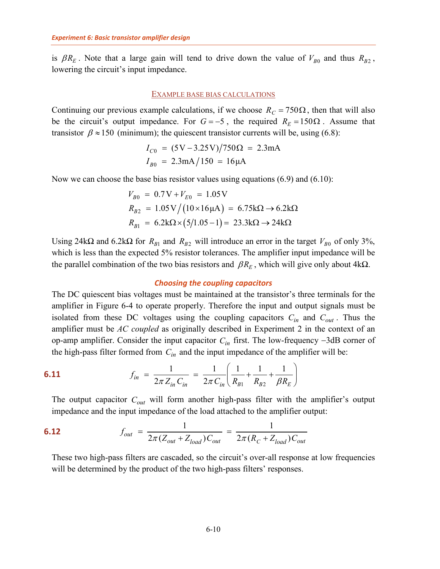is  $\beta R_E$ . Note that a large gain will tend to drive down the value of  $V_{B0}$  and thus  $R_{B2}$ , lowering the circuit's input impedance.

#### EXAMPLE BASE BIAS CALCULATIONS

Continuing our previous example calculations, if we choose  $R_C = 750\Omega$ , then that will also be the circuit's output impedance. For  $G = -5$ , the required  $R_E = 150\Omega$ . Assume that transistor  $\beta \approx 150$  (minimum); the quiescent transistor currents will be, using [\(6.8\)](#page-12-0):

$$
I_{C0} = (5V - 3.25V)/750\Omega = 2.3mA
$$
  

$$
I_{B0} = 2.3mA/150 = 16\mu A
$$

Now we can choose the base bias resistor values using equations  $(6.9)$  and  $(6.10)$ :

$$
V_{B0} = 0.7 \text{V} + V_{E0} = 1.05 \text{V}
$$
  
\n
$$
R_{B2} = 1.05 \text{V} / (10 \times 16 \mu \text{A}) = 6.75 \text{k}\Omega \rightarrow 6.2 \text{k}\Omega
$$
  
\n
$$
R_{B1} = 6.2 \text{k}\Omega \times (5/1.05 - 1) = 23.3 \text{k}\Omega \rightarrow 24 \text{k}\Omega
$$

Using 24k $\Omega$  and 6.2k $\Omega$  for  $R_{B1}$  and  $R_{B2}$  will introduce an error in the target  $V_{B0}$  of only 3%, which is less than the expected 5% resistor tolerances. The amplifier input impedance will be the parallel combination of the two bias resistors and  $\beta R_E$ , which will give only about 4kΩ.

#### *Choosing the coupling capacitors*

The DC quiescent bias voltages must be maintained at the transistor's three terminals for the amplifier in [Figure 6-4](#page-10-2) to operate properly. Therefore the input and output signals must be isolated from these DC voltages using the coupling capacitors  $C_{in}$  and  $C_{out}$ . Thus the amplifier must be *AC coupled* as originally described in Experiment 2 in the context of an op-amp amplifier. Consider the input capacitor *Cin* first. The low-frequency −3dB corner of the high-pass filter formed from  $C_{in}$  and the input impedance of the amplifier will be:

<span id="page-13-0"></span>**6.11** 
$$
f_{in} = \frac{1}{2\pi Z_{in} C_{in}} = \frac{1}{2\pi C_{in}} \left( \frac{1}{R_{B1}} + \frac{1}{R_{B2}} + \frac{1}{\beta R_{E}} \right)
$$

The output capacitor  $C_{out}$  will form another high-pass filter with the amplifier's output impedance and the input impedance of the load attached to the amplifier output:

<span id="page-13-1"></span>**6.12** 
$$
f_{out} = \frac{1}{2\pi (Z_{out} + Z_{load}) C_{out}} = \frac{1}{2\pi (R_C + Z_{load}) C_{out}}
$$

These two high-pass filters are cascaded, so the circuit's over-all response at low frequencies will be determined by the product of the two high-pass filters' responses.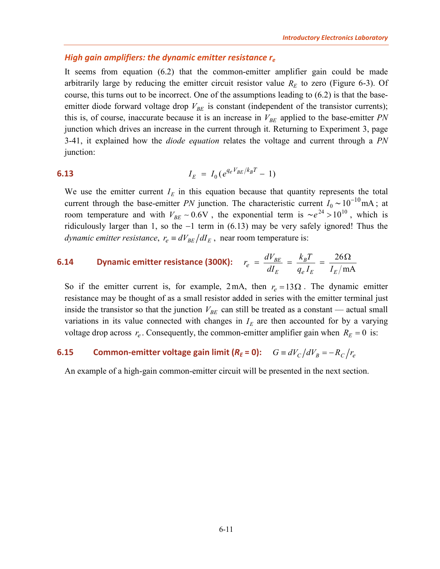#### <span id="page-14-0"></span>*High gain amplifiers: the dynamic emitter resistance re*

It seems from equation [\(6.2\)](#page-8-0) that the common-emitter amplifier gain could be made arbitrarily large by reducing the emitter circuit resistor value  $R<sub>E</sub>$  to zero [\(Figure 6-3\)](#page-7-1). Of course, this turns out to be incorrect. One of the assumptions leading to [\(6.2\)](#page-8-0) is that the baseemitter diode forward voltage drop  $V_{BE}$  is constant (independent of the transistor currents); this is, of course, inaccurate because it is an increase in  $V_{BE}$  applied to the base-emitter *PN* junction which drives an increase in the current through it. Returning to Experiment 3, page 3-41, it explained how the *diode equation* relates the voltage and current through a *PN* junction:

# <span id="page-14-1"></span>**6.13**  $I_E = I_0 (e^{q_e V_{BE}/k_B T} - 1)$

We use the emitter current  $I<sub>E</sub>$  in this equation because that quantity represents the total current through the base-emitter *PN* junction. The characteristic current  $I_0 \sim 10^{-10}$  mA; at room temperature and with  $V_{BE} \sim 0.6V$ , the exponential term is  $\sim e^{24} > 10^{10}$ , which is ridiculously larger than 1, so the −1 term in [\(6.13\)](#page-14-1) may be very safely ignored! Thus the *dynamic emitter resistance,*  $r_e \equiv dV_{BE}/dI_E$ *, near room temperature is:* 

#### <span id="page-14-2"></span>**6.14 Dynamic emitter resistance (300K):**  $r_e = \frac{dV_{BE}}{dr} = \frac{k_B T}{dr} = \frac{26}{r}$ mA  $BE = \frac{R}{B}$  $E$   $q_e$ <sub>*E*</sub>  $I_E$ *e e*  $r_e = \frac{dV_{BE}}{dr} = \frac{k_B T}{r}$  $dI_E$   $q_e I_E$  *I*  $=\frac{dV_{BE}}{dr}=\frac{k_BT}{dr}=\frac{26\Omega}{r}$

So if the emitter current is, for example,  $2 \text{ mA}$ , then  $r_e = 13 \Omega$ . The dynamic emitter resistance may be thought of as a small resistor added in series with the emitter terminal just inside the transistor so that the junction  $V_{BE}$  can still be treated as a constant — actual small variations in its value connected with changes in  $I<sub>E</sub>$  are then accounted for by a varying voltage drop across  $r_e$ . Consequently, the common-emitter amplifier gain when  $R_E = 0$  is:

# <span id="page-14-3"></span>**6.15 Common-emitter voltage gain limit (** $R_E = 0$ **):**  $G \equiv dV_C/dV_B = -R_C/r_e$

An example of a high-gain common-emitter circuit will be presented in the next section.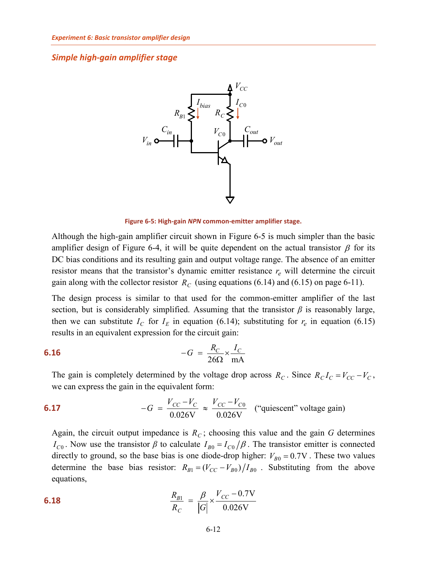#### <span id="page-15-0"></span>*Simple high-gain amplifier stage*



**Figure 6-5: High-gain** *NPN* **common-emitter amplifier stage.**

<span id="page-15-1"></span>Although the high-gain amplifier circuit shown in [Figure 6-5](#page-15-1) is much simpler than the basic amplifier design of [Figure 6-4,](#page-10-2) it will be quite dependent on the actual transistor  $\beta$  for its DC bias conditions and its resulting gain and output voltage range. The absence of an emitter resistor means that the transistor's dynamic emitter resistance  $r_e$  will determine the circuit gain along with the collector resistor  $R_C$  (using equations [\(6.14\)](#page-14-2) and [\(6.15\)](#page-14-3) [on page 6-11\)](#page-14-3).

The design process is similar to that used for the common-emitter amplifier of the last section, but is considerably simplified. Assuming that the transistor  $\beta$  is reasonably large, then we can substitute  $I_c$  for  $I<sub>E</sub>$  in equation [\(6.14\)](#page-14-2); substituting for  $r<sub>e</sub>$  in equation [\(6.15\)](#page-14-3) results in an equivalent expression for the circuit gain:

#### **6.16**  $26\Omega$  mA  $-G = \frac{R_C}{26} \times \frac{I_C}{I}$ Ω

The gain is completely determined by the voltage drop across  $R_C$ . Since  $R_C I_C = V_{CC} - V_C$ , we can express the gain in the equivalent form:

<span id="page-15-3"></span>**6.17** 
$$
-G = \frac{V_{CC} - V_C}{0.026 \text{V}} \approx \frac{V_{CC} - V_{C0}}{0.026 \text{V}}
$$
 ("quiescent" voltage gain)

Again, the circuit output impedance is  $R<sub>C</sub>$ ; choosing this value and the gain G determines  $I_{C0}$ . Now use the transistor  $\beta$  to calculate  $I_{B0} = I_{C0}/\beta$ . The transistor emitter is connected directly to ground, so the base bias is one diode-drop higher:  $V_{B0} = 0.7V$ . These two values determine the base bias resistor:  $R_{B1} = (V_{CC} - V_{B0})/I_{B0}$ . Substituting from the above equations,

<span id="page-15-2"></span>**6.18** 
$$
\frac{R_{B1}}{R_C} = \frac{\beta}{|G|} \times \frac{V_{CC} - 0.7V}{0.026V}
$$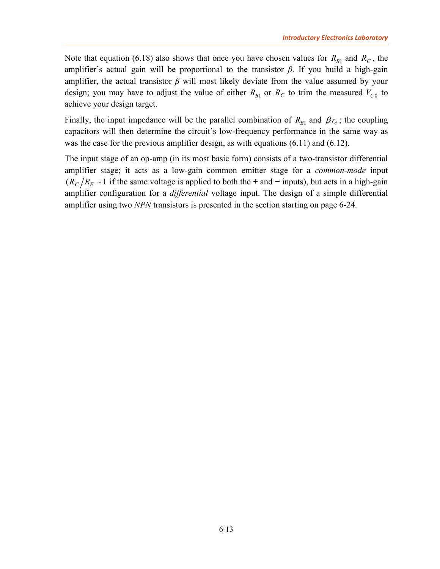Note that equation [\(6.18\)](#page-15-2) also shows that once you have chosen values for  $R_{B1}$  and  $R_C$ , the amplifier's actual gain will be proportional to the transistor  $\beta$ . If you build a high-gain amplifier, the actual transistor  $\beta$  will most likely deviate from the value assumed by your design; you may have to adjust the value of either  $R_{B1}$  or  $R_C$  to trim the measured  $V_{C0}$  to achieve your design target.

Finally, the input impedance will be the parallel combination of  $R_{B1}$  and  $\beta r_e$ ; the coupling capacitors will then determine the circuit's low-frequency performance in the same way as was the case for the previous amplifier design, as with equations [\(6.11\)](#page-13-0) and [\(6.12\)](#page-13-1).

The input stage of an op-amp (in its most basic form) consists of a two-transistor differential amplifier stage; it acts as a low-gain common emitter stage for a *common-mode* input  $(R_C/R_E \sim 1$  if the same voltage is applied to both the + and − inputs), but acts in a high-gain amplifier configuration for a *differential* voltage input. The design of a simple differential amplifier using two *NPN* transistors is presented in the section starting [on page 6-24.](#page-27-0)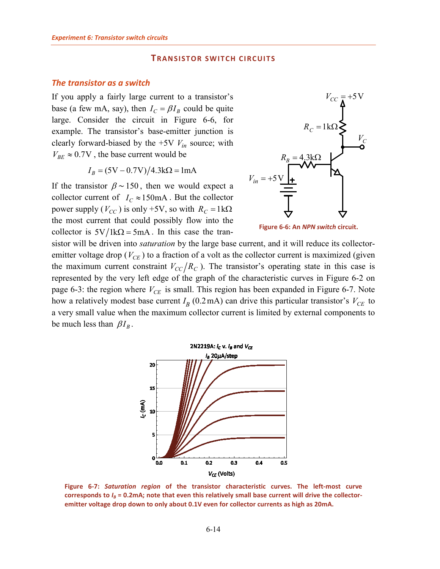### **TRANSISTOR SWITCH CIRCUITS**

#### <span id="page-17-1"></span><span id="page-17-0"></span>*The transistor as a switch*

If you apply a fairly large current to a transistor's base (a few mA, say), then  $I_C = \beta I_B$  could be quite large. Consider the circuit in [Figure 6-6,](#page-17-2) for example. The transistor's base-emitter junction is clearly forward-biased by the  $+5V V_{in}$  source; with  $V_{BE} \approx 0.7V$ , the base current would be

$$
I_B = (5V - 0.7V)/4.3k\Omega = 1mA
$$

If the transistor  $\beta \sim 150$ , then we would expect a collector current of  $I_C \approx 150 \text{ mA}$ . But the collector power supply ( $V_{CC}$ ) is only +5V, so with  $R_C = 1 \text{k}\Omega$ the most current that could possibly flow into the collector is  $5V/lk\Omega = 5mA$ . In this case the tran-



<span id="page-17-2"></span>**Figure 6-6: An** *NPN switch* **circuit.**

sistor will be driven into *saturation* by the large base current, and it will reduce its collectoremitter voltage drop  $(V_{CE})$  to a fraction of a volt as the collector current is maximized (given the maximum current constraint  $V_{CC}/R_C$ ). The transistor's operating state in this case is represented by the very left edge of the graph of the characteristic curves in [Figure 6-2](#page-6-1) [on](#page-6-1)  [page 6-3:](#page-6-1) the region where  $V_{CE}$  is small. This region has been expanded in [Figure 6-7.](#page-17-3) Note how a relatively modest base current  $I_B$  (0.2mA) can drive this particular transistor's  $V_{CE}$  to a very small value when the maximum collector current is limited by external components to be much less than  $\beta I_R$ .



<span id="page-17-3"></span>**Figure 6-7:** *Saturation region* **of the transistor characteristic curves. The left-most curve corresponds to** *IB* **= 0.2mA; note that even this relatively small base current will drive the collectoremitter voltage drop down to only about 0.1V even for collector currents as high as 20mA.**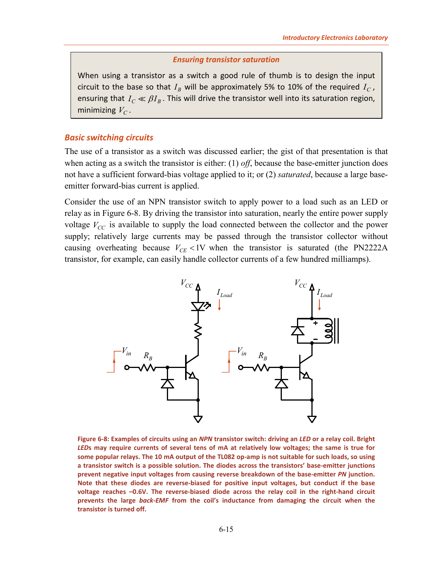#### *Ensuring transistor saturation*

<span id="page-18-2"></span>When using a transistor as a switch a good rule of thumb is to design the input circuit to the base so that  $I_R$  will be approximately 5% to 10% of the required  $I_C$ , ensuring that  $I_C \ll \beta I_B$ . This will drive the transistor well into its saturation region, minimizing  $V_C$ .

#### <span id="page-18-0"></span>*Basic switching circuits*

The use of a transistor as a switch was discussed earlier; the gist of that presentation is that when acting as a switch the transistor is either: (1) *off*, because the base-emitter junction does not have a sufficient forward-bias voltage applied to it; or (2) *saturated*, because a large baseemitter forward-bias current is applied.

Consider the use of an NPN transistor switch to apply power to a load such as an LED or relay as in [Figure 6-8.](#page-18-1) By driving the transistor into saturation, nearly the entire power supply voltage  $V_{CC}$  is available to supply the load connected between the collector and the power supply; relatively large currents may be passed through the transistor collector without causing overheating because  $V_{CE}$  <1V when the transistor is saturated (the PN2222A transistor, for example, can easily handle collector currents of a few hundred milliamps).



<span id="page-18-1"></span>**Figure 6-8: Examples of circuits using an** *NPN* **transistor switch: driving an** *LED* **or a relay coil. Bright**  *LED***s may require currents of several tens of mA at relatively low voltages; the same is true for some popular relays. The 10 mA output of the TL082 op-amp is not suitable for such loads, so using a transistor switch is a possible solution. The diodes across the transistors' base-emitter junctions prevent negative input voltages from causing reverse breakdown of the base-emitter** *PN* **junction. Note that these diodes are reverse-biased for positive input voltages, but conduct if the base voltage reaches –0.6V. The reverse-biased diode across the relay coil in the right-hand circuit prevents the large** *back-EMF* **from the coil's inductance from damaging the circuit when the transistor is turned off.**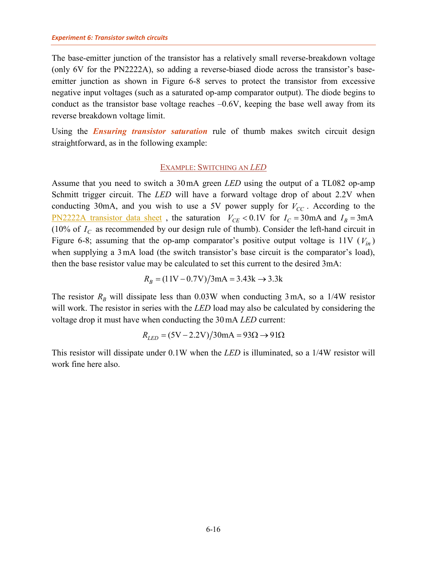The base-emitter junction of the transistor has a relatively small reverse-breakdown voltage (only 6V for the PN2222A), so adding a reverse-biased diode across the transistor's baseemitter junction as shown in [Figure 6-8](#page-18-1) serves to protect the transistor from excessive negative input voltages (such as a saturated op-amp comparator output). The diode begins to conduct as the transistor base voltage reaches  $-0.6V$ , keeping the base well away from its reverse breakdown voltage limit.

<span id="page-19-0"></span>Using the *[Ensuring transistor saturation](#page-18-2)* rule of thumb makes switch circuit design straightforward, as in the following example:

#### EXAMPLE: SWITCHING AN *LED*

Assume that you need to switch a 30mA green *LED* using the output of a TL082 op-amp Schmitt trigger circuit. The *LED* will have a forward voltage drop of about 2.2V when conducting 30mA, and you wish to use a 5V power supply for  $V_{CC}$ . According to the <u>[PN2222A transistor data sheet](http://www.sophphx.caltech.edu/Physics_5/Data_sheets/PN2222A.pdf)</u>, the saturation  $V_{CE}$  < 0.1V for  $I_C$  = 30mA and  $I_B$  = 3mA (10% of  $I_c$  as recommended by our design rule of thumb). Consider the left-hand circuit in [Figure 6-8;](#page-18-1) assuming that the op-amp comparator's positive output voltage is  $11V (V_{in})$ when supplying a 3mA load (the switch transistor's base circuit is the comparator's load), then the base resistor value may be calculated to set this current to the desired 3mA:

$$
R_B = (11V - 0.7V)/3mA = 3.43k \rightarrow 3.3k
$$

The resistor  $R_B$  will dissipate less than 0.03W when conducting 3 mA, so a 1/4W resistor will work. The resistor in series with the *LED* load may also be calculated by considering the voltage drop it must have when conducting the 30mA *LED* current:

$$
R_{LED} = (5V - 2.2V)/30mA = 93\Omega \rightarrow 91\Omega
$$

This resistor will dissipate under 0.1W when the *LED* is illuminated, so a 1/4W resistor will work fine here also.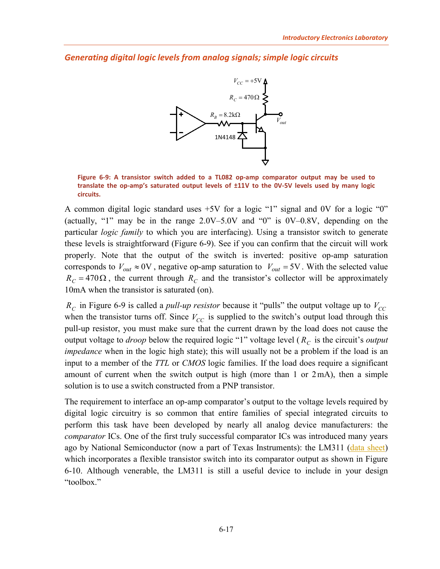<span id="page-20-0"></span>*Generating digital logic levels from analog signals; simple logic circuits*



<span id="page-20-1"></span>**Figure 6-9: A transistor switch added to a TL082 op-amp comparator output may be used to translate the op-amp's saturated output levels of ±11V to the 0V-5V levels used by many logic circuits.**

A common digital logic standard uses +5V for a logic "1" signal and 0V for a logic "0" (actually, "1" may be in the range  $2.0V-5.0V$  and "0" is  $0V-0.8V$ , depending on the particular *logic family* to which you are interfacing). Using a transistor switch to generate these levels is straightforward [\(Figure 6-9\)](#page-20-1). See if you can confirm that the circuit will work properly. Note that the output of the switch is inverted: positive op-amp saturation corresponds to  $V_{out} \approx 0$ V, negative op-amp saturation to  $V_{out} = 5V$ . With the selected value  $R_C = 470 \Omega$ , the current through  $R_C$  and the transistor's collector will be approximately 10mA when the transistor is saturated (on).

 $R_c$  in [Figure 6-9](#page-20-1) is called a *pull-up resistor* because it "pulls" the output voltage up to  $V_{cc}$ when the transistor turns off. Since  $V_{CC}$  is supplied to the switch's output load through this pull-up resistor, you must make sure that the current drawn by the load does not cause the output voltage to *droop* below the required logic "1" voltage level ( $R_c$  is the circuit's *output impedance* when in the logic high state); this will usually not be a problem if the load is an input to a member of the *TTL* or *CMOS* logic families. If the load does require a significant amount of current when the switch output is high (more than 1 or 2mA), then a simple solution is to use a switch constructed from a PNP transistor.

The requirement to interface an op-amp comparator's output to the voltage levels required by digital logic circuitry is so common that entire families of special integrated circuits to perform this task have been developed by nearly all analog device manufacturers: the *comparator* ICs. One of the first truly successful comparator ICs was introduced many years ago by National Semiconductor (now a part of Texas Instruments): the LM311 [\(data sheet\)](http://www.sophphx.caltech.edu/Physics_5/Data_sheets/lm311.pdf) which incorporates a flexible transistor switch into its comparator output as shown in Figure [6-10.](#page-21-2) Although venerable, the LM311 is still a useful device to include in your design "toolbox."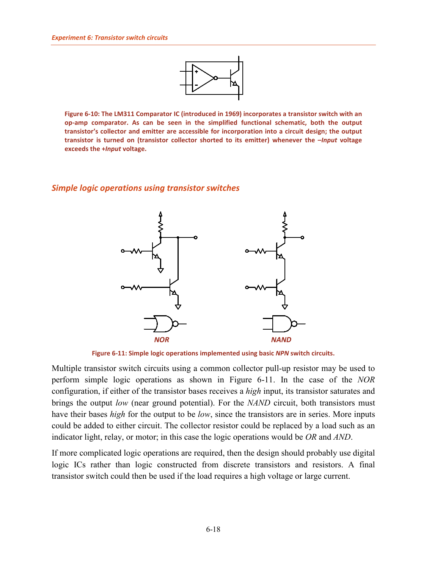

<span id="page-21-2"></span>**Figure 6-10: The LM311 Comparator IC (introduced in 1969) incorporates a transistor switch with an op-amp comparator. As can be seen in the simplified functional schematic, both the output transistor's collector and emitter are accessible for incorporation into a circuit design; the output transistor is turned on (transistor collector shorted to its emitter) whenever the –***Input* **voltage exceeds the +***Input* **voltage.**

#### <span id="page-21-0"></span>*Simple logic operations using transistor switches*



**Figure 6-11: Simple logic operations implemented using basic** *NPN* **switch circuits.**

<span id="page-21-1"></span>Multiple transistor switch circuits using a common collector pull-up resistor may be used to perform simple logic operations as shown in [Figure 6-11.](#page-21-1) In the case of the *NOR* configuration, if either of the transistor bases receives a *high* input, its transistor saturates and brings the output *low* (near ground potential). For the *NAND* circuit, both transistors must have their bases *high* for the output to be *low*, since the transistors are in series. More inputs could be added to either circuit. The collector resistor could be replaced by a load such as an indicator light, relay, or motor; in this case the logic operations would be *OR* and *AND*.

If more complicated logic operations are required, then the design should probably use digital logic ICs rather than logic constructed from discrete transistors and resistors. A final transistor switch could then be used if the load requires a high voltage or large current.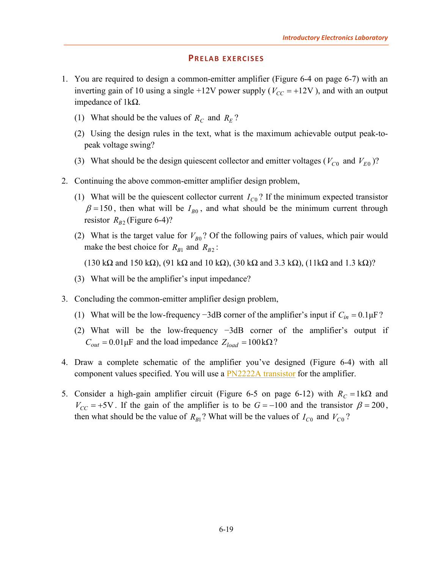#### **PRELAB EXERCISES**

- <span id="page-22-1"></span><span id="page-22-0"></span>1. You are required to design a common-emitter amplifier [\(Figure 6-4](#page-10-2) [on page 6-7\)](#page-10-2) with an inverting gain of 10 using a single  $+12V$  power supply ( $V_{CC} = +12V$ ), and with an output impedance of 1kΩ.
	- (1) What should be the values of  $R_c$  and  $R_E$ ?
	- (2) Using the design rules in the text, what is the maximum achievable output peak-topeak voltage swing?
	- (3) What should be the design quiescent collector and emitter voltages ( $V_{C0}$  and  $V_{E0}$ )?
- <span id="page-22-3"></span>2. Continuing the above common-emitter amplifier design problem,
	- (1) What will be the quiescent collector current  $I_{C0}$ ? If the minimum expected transistor  $\beta = 150$ , then what will be  $I_{B0}$ , and what should be the minimum current through resistor  $R_{B2}$  [\(Figure 6-4\)](#page-10-2)?
	- (2) What is the target value for  $V_{B0}$ ? Of the following pairs of values, which pair would make the best choice for  $R_{B1}$  and  $R_{B2}$ :
		- (130 k $\Omega$  and 150 k $\Omega$ ), (91 k $\Omega$  and 10 k $\Omega$ ), (30 k $\Omega$  and 3.3 k $\Omega$ ), (11k $\Omega$  and 1.3 k $\Omega$ )?
	- (3) What will be the amplifier's input impedance?
- 3. Concluding the common-emitter amplifier design problem,
	- (1) What will be the low-frequency −3dB corner of the amplifier's input if *Cin* = 0.1μF?
	- (2) What will be the low-frequency −3dB corner of the amplifier's output if  $C_{out} = 0.01 \mu F$  and the load impedance  $Z_{load} = 100 \text{ k}\Omega$ ?
- <span id="page-22-2"></span>4. Draw a complete schematic of the amplifier you've designed [\(Figure 6-4\)](#page-10-2) with all component values specified. You will use a **PN2222A** transistor for the amplifier.
- <span id="page-22-4"></span>5. Consider a high-gain amplifier circuit [\(Figure 6-5](#page-15-1) [on page 6-12\)](#page-15-1) with  $R_C = 1k\Omega$  and  $V_{CC}$  = +5V. If the gain of the amplifier is to be  $G = -100$  and the transistor  $\beta = 200$ , then what should be the value of  $R_{B1}$ ? What will be the values of  $I_{C0}$  and  $V_{C0}$ ?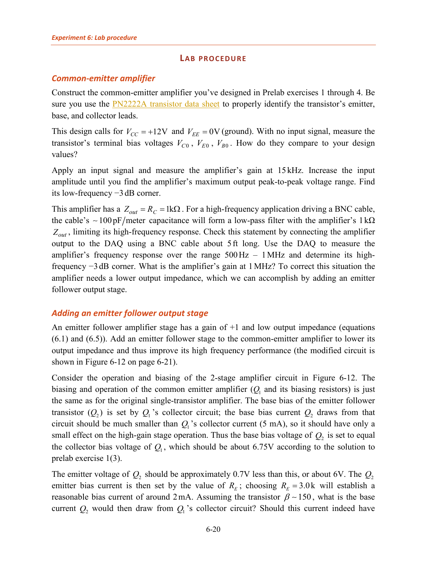### **LAB PROCEDURE**

# <span id="page-23-1"></span><span id="page-23-0"></span>*Common-emitter amplifier*

Construct the common-emitter amplifier you've designed in Prelab exercises [1](#page-22-1) through [4.](#page-22-2) Be sure you use the [PN2222A transistor data sheet](http://www.sophphx.caltech.edu/Physics_5/Data_sheets/PN2222A.pdf) to properly identify the transistor's emitter, base, and collector leads.

This design calls for  $V_{CC} = +12V$  and  $V_{FE} = 0V$  (ground). With no input signal, measure the transistor's terminal bias voltages  $V_{C0}$ ,  $V_{E0}$ ,  $V_{B0}$ . How do they compare to your design values?

Apply an input signal and measure the amplifier's gain at 15 kHz. Increase the input amplitude until you find the amplifier's maximum output peak-to-peak voltage range. Find its low-frequency −3 dB corner.

This amplifier has a  $Z_{out} = R_C = 1 \text{k}\Omega$ . For a high-frequency application driving a BNC cable, the cable's  $\sim 100 \text{pF/meter}$  capacitance will form a low-pass filter with the amplifier's 1kΩ  $Z_{out}$ , limiting its high-frequency response. Check this statement by connecting the amplifier output to the DAQ using a BNC cable about 5 ft long. Use the DAQ to measure the amplifier's frequency response over the range  $500\,\text{Hz} - 1\,\text{MHz}$  and determine its highfrequency −3 dB corner. What is the amplifier's gain at 1MHz? To correct this situation the amplifier needs a lower output impedance, which we can accomplish by adding an emitter follower output stage.

# <span id="page-23-2"></span>*Adding an emitter follower output stage*

An emitter follower amplifier stage has a gain of +1 and low output impedance (equations [\(6.1\)](#page-8-2) and [\(6.5\)](#page-9-1)). Add an emitter follower stage to the common-emitter amplifier to lower its output impedance and thus improve its high frequency performance (the modified circuit is shown in [Figure 6-12](#page-24-1) [on page 6-21\)](#page-24-1).

Consider the operation and biasing of the 2-stage amplifier circuit in [Figure 6-12.](#page-24-1) The biasing and operation of the common emitter amplifier  $(Q<sub>1</sub>$  and its biasing resistors) is just the same as for the original single-transistor amplifier. The base bias of the emitter follower transistor  $(Q_2)$  is set by  $Q_1$ 's collector circuit; the base bias current  $Q_2$  draws from that circuit should be much smaller than  $Q_1$ 's collector current (5 mA), so it should have only a small effect on the high-gain stage operation. Thus the base bias voltage of  $Q_2$  is set to equal the collector bias voltage of  $Q_1$ , which should be about 6.75V according to the solution to prelab exercise [1\(3\).](#page-22-3)

The emitter voltage of  $Q_2$  should be approximately 0.7V less than this, or about 6V. The  $Q_2$ emitter bias current is then set by the value of  $R<sub>F</sub>$ ; choosing  $R<sub>F</sub> = 3.0$ k will establish a reasonable bias current of around 2mA. Assuming the transistor  $\beta \sim 150$ , what is the base current  $Q_2$  would then draw from  $Q_1$ 's collector circuit? Should this current indeed have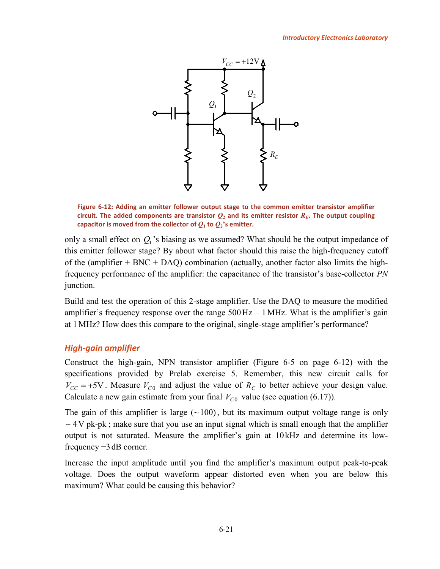

<span id="page-24-1"></span>**Figure 6-12: Adding an emitter follower output stage to the common emitter transistor amplifier circuit.** The added components are transistor  $Q_2$  and its emitter resistor  $R_E$ . The output coupling capacitor is moved from the collector of  $Q_1$  to  $Q_2$ 's emitter.

only a small effect on  $Q_1$ 's biasing as we assumed? What should be the output impedance of this emitter follower stage? By about what factor should this raise the high-frequency cutoff of the (amplifier  $+$  BNC  $+$  DAQ) combination (actually, another factor also limits the highfrequency performance of the amplifier: the capacitance of the transistor's base-collector *PN* junction.

Build and test the operation of this 2-stage amplifier. Use the DAQ to measure the modified amplifier's frequency response over the range  $500\,\text{Hz} - 1\,\text{MHz}$ . What is the amplifier's gain at 1MHz? How does this compare to the original, single-stage amplifier's performance?

# <span id="page-24-0"></span>*High-gain amplifier*

Construct the high-gain, NPN transistor amplifier [\(Figure 6-5](#page-15-1) [on page 6-12\)](#page-15-1) with the specifications provided by Prelab exercise [5.](#page-22-4) Remember, this new circuit calls for  $V_{CC}$  = +5V. Measure  $V_{C0}$  and adjust the value of  $R_C$  to better achieve your design value. Calculate a new gain estimate from your final  $V_{C0}$  value (see equation [\(6.17\)](#page-15-3)).

The gain of this amplifier is large  $(-100)$ , but its maximum output voltage range is only  $\sim$  4 V pk-pk; make sure that you use an input signal which is small enough that the amplifier output is not saturated. Measure the amplifier's gain at 10 kHz and determine its lowfrequency −3 dB corner.

Increase the input amplitude until you find the amplifier's maximum output peak-to-peak voltage. Does the output waveform appear distorted even when you are below this maximum? What could be causing this behavior?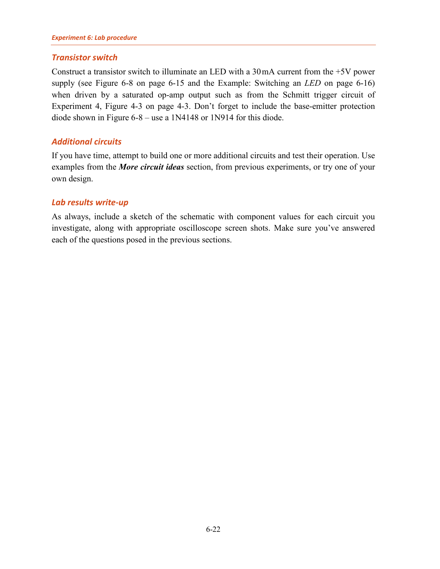# <span id="page-25-0"></span>*Transistor switch*

Construct a transistor switch to illuminate an LED with a 30mA current from the +5V power supply (see [Figure 6-8](#page-18-1) [on page 6-15](#page-18-1) and the [Example: Switching an](#page-19-0) *LED* [on page 6-16\)](#page-19-0) when driven by a saturated op-amp output such as from the Schmitt trigger circuit of Experiment 4, Figure 4-3 on page 4-3. Don't forget to include the base-emitter protection diode shown in [Figure 6-8](#page-18-1) – use a 1N4148 or 1N914 for this diode.

# <span id="page-25-1"></span>*Additional circuits*

If you have time, attempt to build one or more additional circuits and test their operation. Use examples from the *[More circuit ideas](#page-26-0)* section, from previous experiments, or try one of your own design.

# <span id="page-25-2"></span>*Lab results write-up*

As always, include a sketch of the schematic with component values for each circuit you investigate, along with appropriate oscilloscope screen shots. Make sure you've answered each of the questions posed in the previous sections.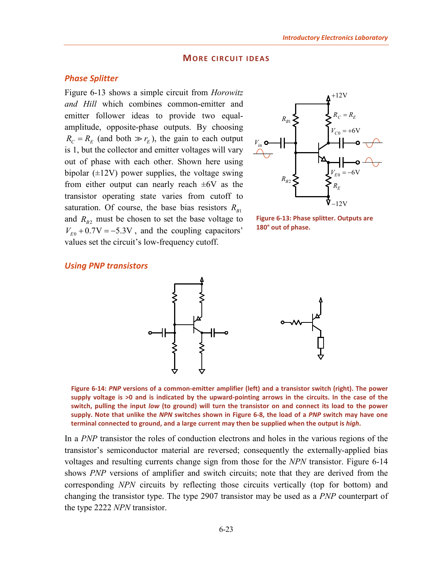#### **MORE CIRCUIT IDEAS**

#### <span id="page-26-1"></span><span id="page-26-0"></span>*Phase Splitter*

[Figure 6-13](#page-26-3) shows a simple circuit from *Horowitz and Hill* which combines common-emitter and emitter follower ideas to provide two equalamplitude, opposite-phase outputs. By choosing  $R_C = R_E$  (and both  $\gg r_E$ ), the gain to each output is 1, but the collector and emitter voltages will vary out of phase with each other. Shown here using bipolar  $(\pm 12V)$  power supplies, the voltage swing from either output can nearly reach  $\pm 6V$  as the transistor operating state varies from cutoff to saturation. Of course, the base bias resistors  $R_{B1}$ and  $R_{B2}$  must be chosen to set the base voltage to  $V_{E0}$  + 0.7V = -5.3V, and the coupling capacitors' values set the circuit's low-frequency cutoff.



<span id="page-26-3"></span>**Figure 6-13: Phase splitter. Outputs are 180° out of phase.**

#### <span id="page-26-2"></span>*Using PNP transistors*



<span id="page-26-4"></span>**Figure 6-14:** *PNP* **versions of a common-emitter amplifier (left) and a transistor switch (right). The power supply voltage is >0 and is indicated by the upward-pointing arrows in the circuits. In the case of the switch, pulling the input** *low* **(to ground) will turn the transistor on and connect its load to the power supply. Note that unlike the** *NPN* **switches shown in [Figure 6-8,](#page-18-1) the load of a** *PNP* **switch may have one terminal connected to ground, and a large current may then be supplied when the output is** *high***.**

In a *PNP* transistor the roles of conduction electrons and holes in the various regions of the transistor's semiconductor material are reversed; consequently the externally-applied bias voltages and resulting currents change sign from those for the *NPN* transistor. [Figure 6-14](#page-26-4) shows *PNP* versions of amplifier and switch circuits; note that they are derived from the corresponding *NPN* circuits by reflecting those circuits vertically (top for bottom) and changing the transistor type. The type 2907 transistor may be used as a *PNP* counterpart of the type 2222 *NPN* transistor.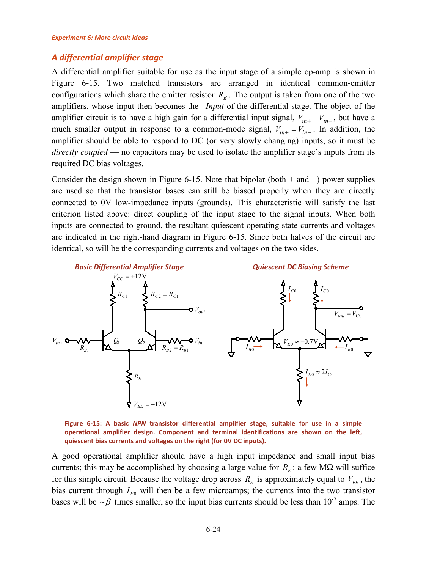### <span id="page-27-0"></span>*A differential amplifier stage*

A differential amplifier suitable for use as the input stage of a simple op-amp is shown in [Figure 6-15.](#page-27-1) Two matched transistors are arranged in identical common-emitter configurations which share the emitter resistor  $R<sub>E</sub>$ . The output is taken from one of the two amplifiers, whose input then becomes the *–Input* of the differential stage. The object of the amplifier circuit is to have a high gain for a differential input signal,  $V_{in+} - V_{in-}$ , but have a much smaller output in response to a common-mode signal,  $V_{in+} = V_{in-}$ . In addition, the amplifier should be able to respond to DC (or very slowly changing) inputs, so it must be *directly coupled* — no capacitors may be used to isolate the amplifier stage's inputs from its required DC bias voltages.

Consider the design shown in [Figure 6-15.](#page-27-1) Note that bipolar (both + and  $-$ ) power supplies are used so that the transistor bases can still be biased properly when they are directly connected to 0V low-impedance inputs (grounds). This characteristic will satisfy the last criterion listed above: direct coupling of the input stage to the signal inputs. When both inputs are connected to ground, the resultant quiescent operating state currents and voltages are indicated in the right-hand diagram in [Figure 6-15.](#page-27-1) Since both halves of the circuit are identical, so will be the corresponding currents and voltages on the two sides.



<span id="page-27-1"></span>**Figure 6-15: A basic** *NPN* **transistor differential amplifier stage, suitable for use in a simple operational amplifier design. Component and terminal identifications are shown on the left, quiescent bias currents and voltages on the right (for 0V DC inputs).**

A good operational amplifier should have a high input impedance and small input bias currents; this may be accomplished by choosing a large value for  $R<sub>E</sub>$ : a few M $\Omega$  will suffice for this simple circuit. Because the voltage drop across  $R_E$  is approximately equal to  $V_{EE}$ , the bias current through  $I_{E0}$  will then be a few microamps; the currents into the two transistor bases will be  $\sim \beta$  times smaller, so the input bias currents should be less than 10<sup>-7</sup> amps. The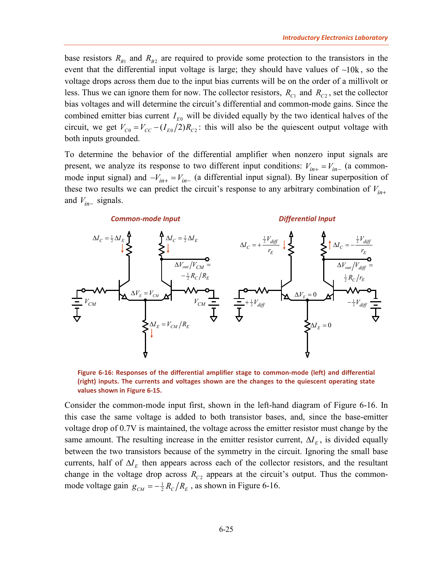base resistors  $R_{B1}$  and  $R_{B2}$  are required to provide some protection to the transistors in the event that the differential input voltage is large; they should have values of  $\neg 10k$ , so the voltage drops across them due to the input bias currents will be on the order of a millivolt or less. Thus we can ignore them for now. The collector resistors,  $R_{C1}$  and  $R_{C2}$ , set the collector bias voltages and will determine the circuit's differential and common-mode gains. Since the combined emitter bias current  $I_{E0}$  will be divided equally by the two identical halves of the circuit, we get  $V_{C0} = V_{CC} - (I_{E0}/2)R_{C2}$ : this will also be the quiescent output voltage with both inputs grounded.

To determine the behavior of the differential amplifier when nonzero input signals are present, we analyze its response to two different input conditions:  $V_{in+} = V_{in-}$  (a commonmode input signal) and  $-V_{in+} = V_{in-}$  (a differential input signal). By linear superposition of these two results we can predict the circuit's response to any arbitrary combination of  $V_{in+}$ and  $V_{in-}$  signals.



<span id="page-28-0"></span>**Figure 6-16: Responses of the differential amplifier stage to common-mode (left) and differential (right) inputs. The currents and voltages shown are the changes to the quiescent operating state values shown i[n Figure 6-15.](#page-27-1)**

Consider the common-mode input first, shown in the left-hand diagram of [Figure 6-16.](#page-28-0) In this case the same voltage is added to both transistor bases, and, since the base-emitter voltage drop of 0.7V is maintained, the voltage across the emitter resistor must change by the same amount. The resulting increase in the emitter resistor current,  $\Delta I<sub>E</sub>$ , is divided equally between the two transistors because of the symmetry in the circuit. Ignoring the small base currents, half of  $\Delta I<sub>F</sub>$  then appears across each of the collector resistors, and the resultant change in the voltage drop across  $R_{C2}$  appears at the circuit's output. Thus the commonmode voltage gain  $g_{CM} = -\frac{1}{2}R_C/R_E$ , as shown in [Figure 6-16.](#page-28-0)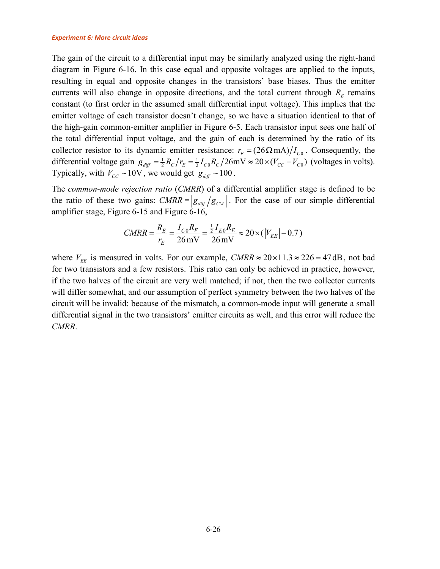The gain of the circuit to a differential input may be similarly analyzed using the right-hand diagram in [Figure 6-16.](#page-28-0) In this case equal and opposite voltages are applied to the inputs, resulting in equal and opposite changes in the transistors' base biases. Thus the emitter currents will also change in opposite directions, and the total current through  $R<sub>E</sub>$  remains constant (to first order in the assumed small differential input voltage). This implies that the emitter voltage of each transistor doesn't change, so we have a situation identical to that of the high-gain common-emitter amplifier in [Figure 6-5.](#page-15-1) Each transistor input sees one half of the total differential input voltage, and the gain of each is determined by the ratio of its collector resistor to its dynamic emitter resistance:  $r_E = (26 \Omega \text{ mA})/I_{C}$ . Consequently, the differential voltage gain  $g_{\text{diff}} = \frac{1}{2} R_C / r_E = \frac{1}{2} I_{C0} R_C / 26 \text{mV} \approx 20 \times (V_{CC} - V_{C0})$  (voltages in volts). Typically, with  $V_{CC} \sim 10V$ , we would get  $g_{diff} \sim 100$ .

The *common-mode rejection ratio* (*CMRR*) of a differential amplifier stage is defined to be the ratio of these two gains:  $CMRR = |g_{\text{diff}}/g_{\text{CM}}|$ . For the case of our simple differential amplifier stage, [Figure 6-15](#page-27-1) and [Figure 6-16,](#page-28-0)

$$
CMRR = \frac{R_E}{r_E} = \frac{I_{C0}R_E}{26 \text{ mV}} = \frac{\frac{1}{2}I_{E0}R_E}{26 \text{ mV}} \approx 20 \times (|V_{EE}| - 0.7)
$$

where  $V_{EF}$  is measured in volts. For our example, *CMRR*  $\approx$  20×11.3  $\approx$  226 = 47 dB, not bad for two transistors and a few resistors. This ratio can only be achieved in practice, however, if the two halves of the circuit are very well matched; if not, then the two collector currents will differ somewhat, and our assumption of perfect symmetry between the two halves of the circuit will be invalid: because of the mismatch, a common-mode input will generate a small differential signal in the two transistors' emitter circuits as well, and this error will reduce the *CMRR*.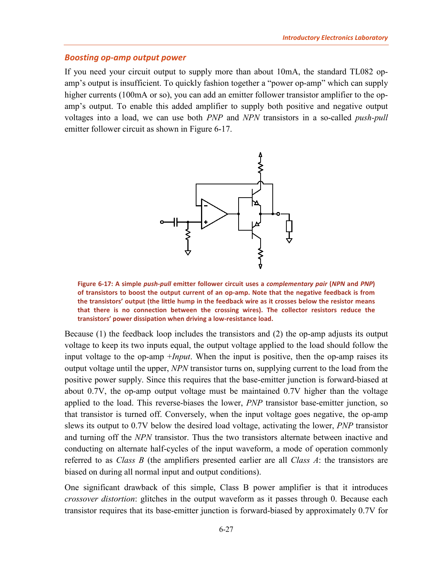#### <span id="page-30-0"></span>*Boosting op-amp output power*

If you need your circuit output to supply more than about 10mA, the standard TL082 opamp's output is insufficient. To quickly fashion together a "power op-amp" which can supply higher currents (100mA or so), you can add an emitter follower transistor amplifier to the opamp's output. To enable this added amplifier to supply both positive and negative output voltages into a load, we can use both *PNP* and *NPN* transistors in a so-called *push-pull* emitter follower circuit as shown in [Figure 6-17.](#page-30-1)



<span id="page-30-1"></span>**Figure 6-17: A simple** *push-pull* **emitter follower circuit uses a** *complementary pair* **(***NPN* **and** *PNP***) of transistors to boost the output current of an op-amp. Note that the negative feedback is from the transistors' output (the little hump in the feedback wire as it crosses below the resistor means that there is no connection between the crossing wires). The collector resistors reduce the transistors' power dissipation when driving a low-resistance load.**

Because (1) the feedback loop includes the transistors and (2) the op-amp adjusts its output voltage to keep its two inputs equal, the output voltage applied to the load should follow the input voltage to the op-amp +*Input*. When the input is positive, then the op-amp raises its output voltage until the upper, *NPN* transistor turns on, supplying current to the load from the positive power supply. Since this requires that the base-emitter junction is forward-biased at about 0.7V, the op-amp output voltage must be maintained 0.7V higher than the voltage applied to the load. This reverse-biases the lower, *PNP* transistor base-emitter junction, so that transistor is turned off. Conversely, when the input voltage goes negative, the op-amp slews its output to 0.7V below the desired load voltage, activating the lower, *PNP* transistor and turning off the *NPN* transistor. Thus the two transistors alternate between inactive and conducting on alternate half-cycles of the input waveform, a mode of operation commonly referred to as *Class B* (the amplifiers presented earlier are all *Class A*: the transistors are biased on during all normal input and output conditions).

One significant drawback of this simple, Class B power amplifier is that it introduces *crossover distortion*: glitches in the output waveform as it passes through 0. Because each transistor requires that its base-emitter junction is forward-biased by approximately 0.7V for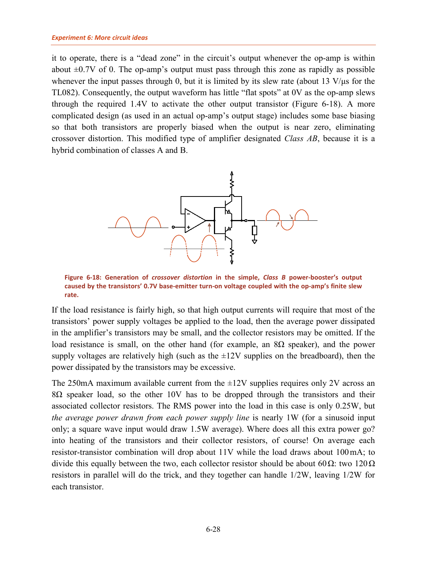it to operate, there is a "dead zone" in the circuit's output whenever the op-amp is within about  $\pm 0.7V$  of 0. The op-amp's output must pass through this zone as rapidly as possible whenever the input passes through 0, but it is limited by its slew rate (about 13 V/μs for the TL082). Consequently, the output waveform has little "flat spots" at 0V as the op-amp slews through the required 1.4V to activate the other output transistor [\(Figure 6-18\)](#page-31-0). A more complicated design (as used in an actual op-amp's output stage) includes some base biasing so that both transistors are properly biased when the output is near zero, eliminating crossover distortion. This modified type of amplifier designated *Class AB*, because it is a hybrid combination of classes A and B.



<span id="page-31-0"></span>**Figure 6-18: Generation of** *crossover distortion* **in the simple,** *Class B* **power-booster's output caused by the transistors' 0.7V base-emitter turn-on voltage coupled with the op-amp's finite slew rate.**

If the load resistance is fairly high, so that high output currents will require that most of the transistors' power supply voltages be applied to the load, then the average power dissipated in the amplifier's transistors may be small, and the collector resistors may be omitted. If the load resistance is small, on the other hand (for example, an  $8Ω$  speaker), and the power supply voltages are relatively high (such as the  $\pm 12V$  supplies on the breadboard), then the power dissipated by the transistors may be excessive.

The 250mA maximum available current from the  $\pm$ 12V supplies requires only 2V across an 8Ω speaker load, so the other 10V has to be dropped through the transistors and their associated collector resistors. The RMS power into the load in this case is only 0.25W, but *the average power drawn from each power supply line* is nearly 1W (for a sinusoid input only; a square wave input would draw 1.5W average). Where does all this extra power go? into heating of the transistors and their collector resistors, of course! On average each resistor-transistor combination will drop about 11V while the load draws about 100mA; to divide this equally between the two, each collector resistor should be about 60 $Ω$ : two 120 $Ω$ resistors in parallel will do the trick, and they together can handle 1/2W, leaving 1/2W for each transistor.